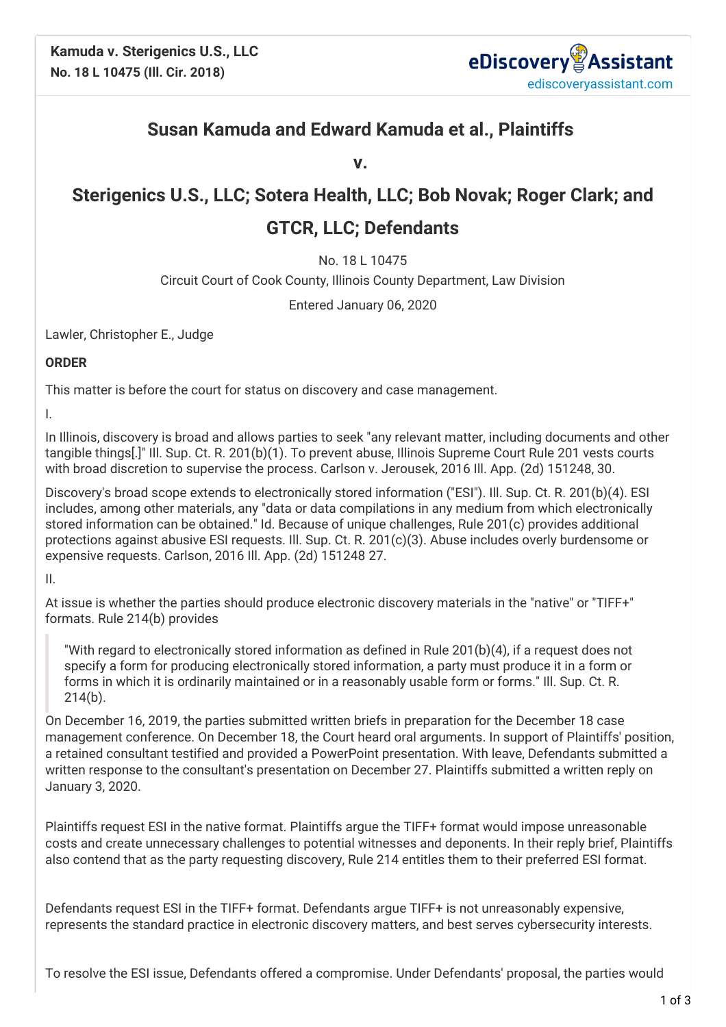

## **Susan Kamuda and Edward Kamuda et al., Plaintiffs**

**v.**

## **Sterigenics U.S., LLC; Sotera Health, LLC; Bob Novak; Roger Clark; and**

## **GTCR, LLC; Defendants**

No. 18 L 10475

Circuit Court of Cook County, Illinois County Department, Law Division

Entered January 06, 2020

Lawler, Christopher E., Judge

**ORDER**

This matter is before the court for status on discovery and case management.

I.

In Illinois, discovery is broad and allows parties to seek "any relevant matter, including documents and other tangible things[.]" Ill. Sup. Ct. R. 201(b)(1). To prevent abuse, Illinois Supreme Court Rule 201 vests courts with broad discretion to supervise the process. Carlson v. Jerousek, 2016 Ill. App. (2d) 151248, 30.

Discovery's broad scope extends to electronically stored information ("ESI"). Ill. Sup. Ct. R. 201(b)(4). ESI includes, among other materials, any "data or data compilations in any medium from which electronically stored information can be obtained." Id. Because of unique challenges, Rule 201(c) provides additional protections against abusive ESI requests. Ill. Sup. Ct. R. 201(c)(3). Abuse includes overly burdensome or expensive requests. Carlson, 2016 Ill. App. (2d) 151248 27.

II.

At issue is whether the parties should produce electronic discovery materials in the "native" or "TIFF+" formats. Rule 214(b) provides

"With regard to electronically stored information as defined in Rule 201(b)(4), if a request does not specify a form for producing electronically stored information, a party must produce it in a form or forms in which it is ordinarily maintained or in a reasonably usable form or forms." Ill. Sup. Ct. R. 214(b).

On December 16, 2019, the parties submitted written briefs in preparation for the December 18 case management conference. On December 18, the Court heard oral arguments. In support of Plaintiffs' position, a retained consultant testified and provided a PowerPoint presentation. With leave, Defendants submitted a written response to the consultant's presentation on December 27. Plaintiffs submitted a written reply on January 3, 2020.

Plaintiffs request ESI in the native format. Plaintiffs argue the TIFF+ format would impose unreasonable costs and create unnecessary challenges to potential witnesses and deponents. In their reply brief, Plaintiffs also contend that as the party requesting discovery, Rule 214 entitles them to their preferred ESI format.

Defendants request ESI in the TIFF+ format. Defendants argue TIFF+ is not unreasonably expensive, represents the standard practice in electronic discovery matters, and best serves cybersecurity interests.

To resolve the ESI issue, Defendants offered a compromise. Under Defendants' proposal, the parties would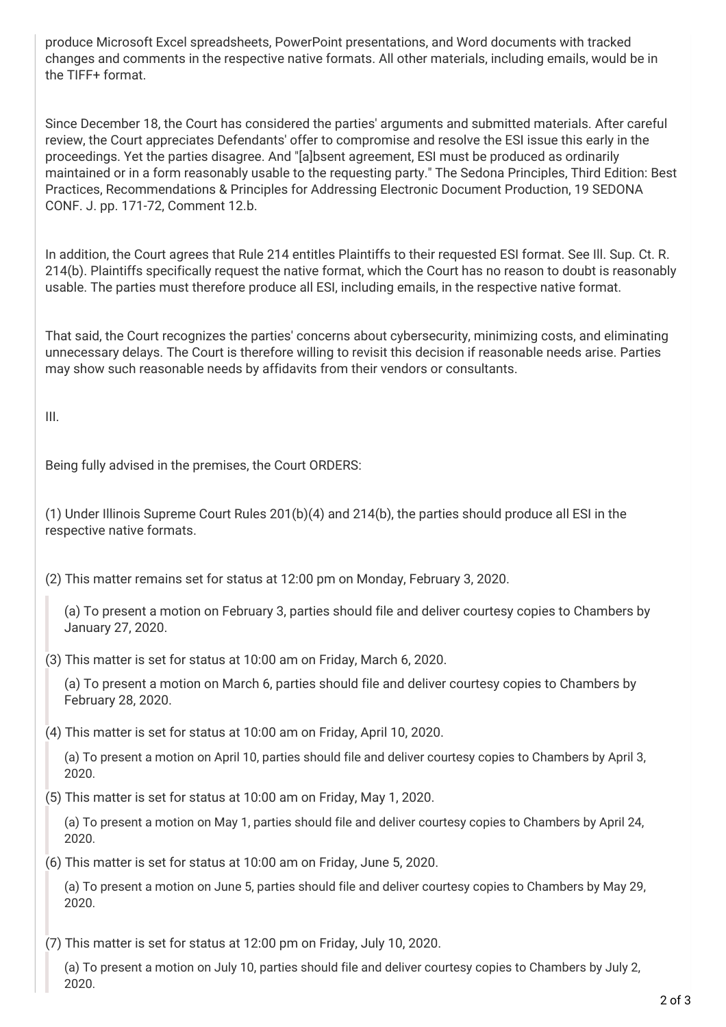produce Microsoft Excel spreadsheets, PowerPoint presentations, and Word documents with tracked changes and comments in the respective native formats. All other materials, including emails, would be in the TIFF+ format.

Since December 18, the Court has considered the parties' arguments and submitted materials. After careful review, the Court appreciates Defendants' offer to compromise and resolve the ESI issue this early in the proceedings. Yet the parties disagree. And "[a]bsent agreement, ESI must be produced as ordinarily maintained or in a form reasonably usable to the requesting party." The Sedona Principles, Third Edition: Best Practices, Recommendations & Principles for Addressing Electronic Document Production, 19 SEDONA CONF. J. pp. 171-72, Comment 12.b.

In addition, the Court agrees that Rule 214 entitles Plaintiffs to their requested ESI format. See Ill. Sup. Ct. R. 214(b). Plaintiffs specifically request the native format, which the Court has no reason to doubt is reasonably usable. The parties must therefore produce all ESI, including emails, in the respective native format.

That said, the Court recognizes the parties' concerns about cybersecurity, minimizing costs, and eliminating unnecessary delays. The Court is therefore willing to revisit this decision if reasonable needs arise. Parties may show such reasonable needs by affidavits from their vendors or consultants.

III.

Being fully advised in the premises, the Court ORDERS:

(1) Under Illinois Supreme Court Rules 201(b)(4) and 214(b), the parties should produce all ESI in the respective native formats.

(2) This matter remains set for status at 12:00 pm on Monday, February 3, 2020.

(a) To present a motion on February 3, parties should file and deliver courtesy copies to Chambers by January 27, 2020.

(3) This matter is set for status at 10:00 am on Friday, March 6, 2020.

(a) To present a motion on March 6, parties should file and deliver courtesy copies to Chambers by February 28, 2020.

(4) This matter is set for status at 10:00 am on Friday, April 10, 2020.

(a) To present a motion on April 10, parties should file and deliver courtesy copies to Chambers by April 3, 2020.

(5) This matter is set for status at 10:00 am on Friday, May 1, 2020.

(a) To present a motion on May 1, parties should file and deliver courtesy copies to Chambers by April 24, 2020.

(6) This matter is set for status at 10:00 am on Friday, June 5, 2020.

(a) To present a motion on June 5, parties should file and deliver courtesy copies to Chambers by May 29, 2020.

(7) This matter is set for status at 12:00 pm on Friday, July 10, 2020.

(a) To present a motion on July 10, parties should file and deliver courtesy copies to Chambers by July 2, 2020.